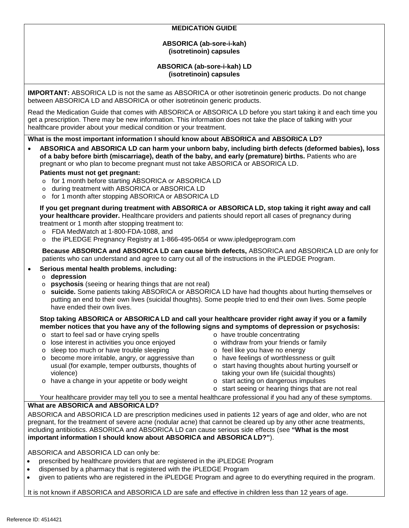## **MEDICATION GUIDE**

#### **ABSORICA (ab-sore-i-kah) (isotretinoin) capsules**

### **ABSORICA (ab-sore-i-kah) LD (isotretinoin) capsules**

**IMPORTANT:** ABSORICA LD is not the same as ABSORICA or other isotretinoin generic products. Do not change between ABSORICA LD and ABSORICA or other isotretinoin generic products.

Read the Medication Guide that comes with ABSORICA or ABSORICA LD before you start taking it and each time you get a prescription. There may be new information. This information does not take the place of talking with your healthcare provider about your medical condition or your treatment.

**What is the most important information I should know about ABSORICA and ABSORICA LD?**

• **ABSORICA and ABSORICA LD can harm your unborn baby, including birth defects (deformed babies), loss of a baby before birth (miscarriage), death of the baby, and early (premature) births.** Patients who are pregnant or who plan to become pregnant must not take ABSORICA or ABSORICA LD.

### **Patients must not get pregnant:**

- o for 1 month before starting ABSORICA or ABSORICA LD
- o during treatment with ABSORICA or ABSORICA LD
- o for 1 month after stopping ABSORICA or ABSORICA LD

**If you get pregnant during treatment with ABSORICA or ABSORICA LD, stop taking it right away and call your healthcare provider.** Healthcare providers and patients should report all cases of pregnancy during treatment or 1 month after stopping treatment to:

- o FDA MedWatch at 1-800-FDA-1088, and
- o the iPLEDGE Pregnancy Registry at 1-866-495-0654 or www.ipledgeprogram.com

**Because ABSORICA and ABSORICA LD can cause birth defects,** ABSORICA and ABSORICA LD are only for patients who can understand and agree to carry out all of the instructions in the iPLEDGE Program.

### • **Serious mental health problems**, **including:**

- o **depression**
- o **psychosis** (seeing or hearing things that are not real)
- o **suicide.** Some patients taking ABSORICA or ABSORICA LD have had thoughts about hurting themselves or putting an end to their own lives (suicidal thoughts). Some people tried to end their own lives. Some people have ended their own lives.

#### **Stop taking ABSORICA or ABSORICA LD and call your healthcare provider right away if you or a family member notices that you have any of the following signs and symptoms of depression or psychosis:**

- o start to feel sad or have crying spells
- o lose interest in activities you once enjoyed
- o sleep too much or have trouble sleeping
- o become more irritable, angry, or aggressive than usual (for example, temper outbursts, thoughts of violence) o have a change in your appetite or body weight
- o have trouble concentrating
- o withdraw from your friends or family
- o feel like you have no energy
- o have feelings of worthlessness or guilt
- o start having thoughts about hurting yourself or taking your own life (suicidal thoughts)
- o start acting on dangerous impulses
	- o start seeing or hearing things that are not real

Your healthcare provider may tell you to see a mental healthcare professional if you had any of these symptoms. **What are ABSORICA and ABSORICA LD?**

ABSORICA and ABSORICA LD are prescription medicines used in patients 12 years of age and older, who are not pregnant, for the treatment of severe acne (nodular acne) that cannot be cleared up by any other acne treatments, including antibiotics. ABSORICA and ABSORICA LD can cause serious side effects (see **"What is the most important information I should know about ABSORICA and ABSORICA LD?"**).

ABSORICA and ABSORICA LD can only be:

- prescribed by healthcare providers that are registered in the iPLEDGE Program
- dispensed by a pharmacy that is registered with the iPLEDGE Program
- given to patients who are registered in the iPLEDGE Program and agree to do everything required in the program.

It is not known if ABSORICA and ABSORICA LD are safe and effective in children less than 12 years of age.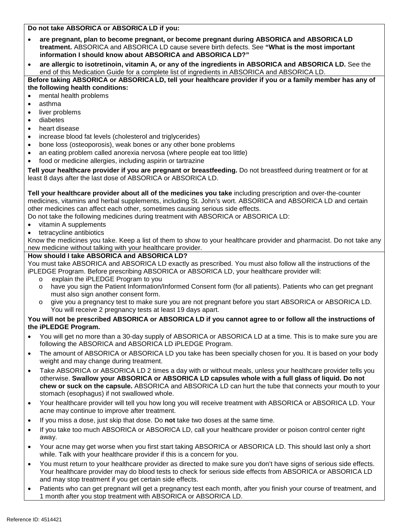#### **Do not take ABSORICA or ABSORICA LD if you:**

- **are pregnant, plan to become pregnant, or become pregnant during ABSORICA and ABSORICA LD treatment.** ABSORICA and ABSORICA LD cause severe birth defects. See **"What is the most important information I should know about ABSORICA and ABSORICA LD?"**
- **are allergic to isotretinoin, vitamin A, or any of the ingredients in ABSORICA and ABSORICA LD.** See the end of this Medication Guide for a complete list of ingredients in ABSORICA and ABSORICA LD.

**Before taking ABSORICA or ABSORICA LD, tell your healthcare provider if you or a family member has any of the following health conditions:**

- mental health problems
- asthma
- liver problems
- diabetes
- heart disease
- increase blood fat levels (cholesterol and triglycerides)
- bone loss (osteoporosis), weak bones or any other bone problems
- an eating problem called anorexia nervosa (where people eat too little)
- food or medicine allergies, including aspirin or tartrazine

**Tell your healthcare provider if you are pregnant or breastfeeding.** Do not breastfeed during treatment or for at least 8 days after the last dose of ABSORICA or ABSORICA LD.

**Tell your healthcare provider about all of the medicines you take** including prescription and over-the-counter medicines, vitamins and herbal supplements, including St. John's wort. ABSORICA and ABSORICA LD and certain other medicines can affect each other, sometimes causing serious side effects.

Do not take the following medicines during treatment with ABSORICA or ABSORICA LD:

- vitamin A supplements
- tetracycline antibiotics

Know the medicines you take. Keep a list of them to show to your healthcare provider and pharmacist. Do not take any new medicine without talking with your healthcare provider.

### **How should I take ABSORICA and ABSORICA LD?**

You must take ABSORICA and ABSORICA LD exactly as prescribed. You must also follow all the instructions of the iPLEDGE Program. Before prescribing ABSORICA or ABSORICA LD, your healthcare provider will:

- explain the iPLEDGE Program to you
- o have you sign the Patient Information/Informed Consent form (for all patients). Patients who can get pregnant must also sign another consent form.
- o give you a pregnancy test to make sure you are not pregnant before you start ABSORICA or ABSORICA LD. You will receive 2 pregnancy tests at least 19 days apart.

### **You will not be prescribed ABSORICA or ABSORICA LD if you cannot agree to or follow all the instructions of the iPLEDGE Program.**

- You will get no more than a 30-day supply of ABSORICA or ABSORICA LD at a time. This is to make sure you are following the ABSORICA and ABSORICA LD iPLEDGE Program.
- The amount of ABSORICA or ABSORICA LD you take has been specially chosen for you. It is based on your body weight and may change during treatment.
- Take ABSORICA or ABSORICA LD 2 times a day with or without meals, unless your healthcare provider tells you otherwise. **Swallow your ABSORICA or ABSORICA LD capsules whole with a full glass of liquid. Do not chew or suck on the capsule.** ABSORICA and ABSORICA LD can hurt the tube that connects your mouth to your stomach (esophagus) if not swallowed whole.
- Your healthcare provider will tell you how long you will receive treatment with ABSORICA or ABSORICA LD. Your acne may continue to improve after treatment.
- If you miss a dose, just skip that dose. Do **not** take two doses at the same time.
- If you take too much ABSORICA or ABSORICA LD, call your healthcare provider or poison control center right away.
- Your acne may get worse when you first start taking ABSORICA or ABSORICA LD. This should last only a short while. Talk with your healthcare provider if this is a concern for you.
- You must return to your healthcare provider as directed to make sure you don't have signs of serious side effects. Your healthcare provider may do blood tests to check for serious side effects from ABSORICA or ABSORICA LD and may stop treatment if you get certain side effects.
- Patients who can get pregnant will get a pregnancy test each month, after you finish your course of treatment, and 1 month after you stop treatment with ABSORICA or ABSORICA LD.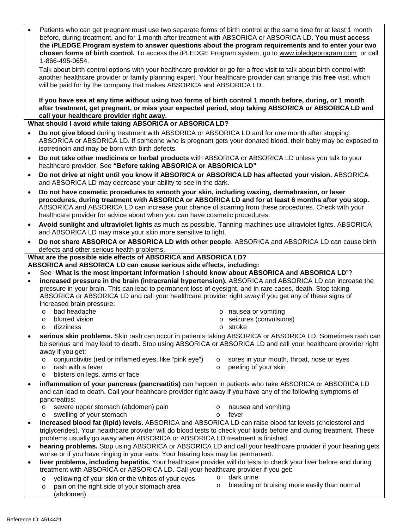|                                                                     | Patients who can get pregnant must use two separate forms of birth control at the same time for at least 1 month<br>before, during treatment, and for 1 month after treatment with ABSORICA or ABSORICA LD. You must access<br>the iPLEDGE Program system to answer questions about the program requirements and to enter your two<br>chosen forms of birth control. To access the iPLEDGE Program system, go to www.ipledgeprogram.com or call<br>1-866-495-0654. |                    |                                                                   |
|---------------------------------------------------------------------|--------------------------------------------------------------------------------------------------------------------------------------------------------------------------------------------------------------------------------------------------------------------------------------------------------------------------------------------------------------------------------------------------------------------------------------------------------------------|--------------------|-------------------------------------------------------------------|
|                                                                     | Talk about birth control options with your healthcare provider or go for a free visit to talk about birth control with<br>another healthcare provider or family planning expert. Your healthcare provider can arrange this free visit, which<br>will be paid for by the company that makes ABSORICA and ABSORICA LD.                                                                                                                                               |                    |                                                                   |
|                                                                     | If you have sex at any time without using two forms of birth control 1 month before, during, or 1 month<br>after treatment, get pregnant, or miss your expected period, stop taking ABSORICA or ABSORICA LD and<br>call your healthcare provider right away.                                                                                                                                                                                                       |                    |                                                                   |
| What should I avoid while taking ABSORICA or ABSORICA LD?           |                                                                                                                                                                                                                                                                                                                                                                                                                                                                    |                    |                                                                   |
| $\bullet$                                                           | Do not give blood during treatment with ABSORICA or ABSORICA LD and for one month after stopping<br>ABSORICA or ABSORICA LD. If someone who is pregnant gets your donated blood, their baby may be exposed to<br>isotretinoin and may be born with birth defects.                                                                                                                                                                                                  |                    |                                                                   |
|                                                                     | Do not take other medicines or herbal products with ABSORICA or ABSORICA LD unless you talk to your<br>healthcare provider. See "Before taking ABSORICA or ABSORICA LD"                                                                                                                                                                                                                                                                                            |                    |                                                                   |
|                                                                     | Do not drive at night until you know if ABSORICA or ABSORICA LD has affected your vision. ABSORICA<br>and ABSORICA LD may decrease your ability to see in the dark.                                                                                                                                                                                                                                                                                                |                    |                                                                   |
| $\bullet$                                                           | Do not have cosmetic procedures to smooth your skin, including waxing, dermabrasion, or laser<br>procedures, during treatment with ABSORICA or ABSORICA LD and for at least 6 months after you stop.<br>ABSORICA and ABSORICA LD can increase your chance of scarring from these procedures. Check with your<br>healthcare provider for advice about when you can have cosmetic procedures.                                                                        |                    |                                                                   |
| $\bullet$                                                           | Avoid sunlight and ultraviolet lights as much as possible. Tanning machines use ultraviolet lights. ABSORICA<br>and ABSORICA LD may make your skin more sensitive to light.                                                                                                                                                                                                                                                                                        |                    |                                                                   |
| $\bullet$                                                           | Do not share ABSORICA or ABSORICA LD with other people. ABSORICA and ABSORICA LD can cause birth<br>defects and other serious health problems.                                                                                                                                                                                                                                                                                                                     |                    |                                                                   |
| What are the possible side effects of ABSORICA and ABSORICA LD?     |                                                                                                                                                                                                                                                                                                                                                                                                                                                                    |                    |                                                                   |
| ABSORICA and ABSORICA LD can cause serious side effects, including: |                                                                                                                                                                                                                                                                                                                                                                                                                                                                    |                    |                                                                   |
| $\bullet$<br>$\bullet$                                              | See "What is the most important information I should know about ABSORICA and ABSORICA LD"?<br>increased pressure in the brain (intracranial hypertension). ABSORICA and ABSORICA LD can increase the<br>pressure in your brain. This can lead to permanent loss of eyesight, and in rare cases, death. Stop taking<br>ABSORICA or ABSORICA LD and call your healthcare provider right away if you get any of these signs of                                        |                    |                                                                   |
|                                                                     | increased brain pressure:                                                                                                                                                                                                                                                                                                                                                                                                                                          |                    |                                                                   |
|                                                                     | bad headache<br>$\Omega$<br>blurred vision                                                                                                                                                                                                                                                                                                                                                                                                                         |                    | o nausea or vomiting<br>o seizures (convulsions)                  |
|                                                                     | $\circ$<br>dizziness<br>$\circ$                                                                                                                                                                                                                                                                                                                                                                                                                                    |                    | o stroke                                                          |
| $\bullet$                                                           |                                                                                                                                                                                                                                                                                                                                                                                                                                                                    |                    |                                                                   |
|                                                                     | serious skin problems. Skin rash can occur in patients taking ABSORICA or ABSORICA LD. Sometimes rash can<br>be serious and may lead to death. Stop using ABSORICA or ABSORICA LD and call your healthcare provider right<br>away if you get:                                                                                                                                                                                                                      |                    |                                                                   |
|                                                                     | conjunctivitis (red or inflamed eyes, like "pink eye")<br>$\circ$<br>rash with a fever<br>$\circ$<br>blisters on legs, arms or face<br>$\circ$                                                                                                                                                                                                                                                                                                                     | $\circ$<br>$\circ$ | sores in your mouth, throat, nose or eyes<br>peeling of your skin |
| $\bullet$                                                           | inflammation of your pancreas (pancreatitis) can happen in patients who take ABSORICA or ABSORICA LD                                                                                                                                                                                                                                                                                                                                                               |                    |                                                                   |
|                                                                     | and can lead to death. Call your healthcare provider right away if you have any of the following symptoms of<br>pancreatitis:                                                                                                                                                                                                                                                                                                                                      |                    |                                                                   |
|                                                                     | severe upper stomach (abdomen) pain<br>$\circ$<br>swelling of your stomach<br>$\circ$                                                                                                                                                                                                                                                                                                                                                                              | $\circ$<br>$\circ$ | nausea and vomiting<br>fever                                      |
|                                                                     | increased blood fat (lipid) levels. ABSORICA and ABSORICA LD can raise blood fat levels (cholesterol and<br>triglycerides). Your healthcare provider will do blood tests to check your lipids before and during treatment. These<br>problems usually go away when ABSORICA or ABSORICA LD treatment is finished.                                                                                                                                                   |                    |                                                                   |
| $\bullet$                                                           | hearing problems. Stop using ABSORICA or ABSORICA LD and call your healthcare provider if your hearing gets                                                                                                                                                                                                                                                                                                                                                        |                    |                                                                   |
| $\bullet$                                                           | worse or if you have ringing in your ears. Your hearing loss may be permanent.<br>liver problems, including hepatitis. Your healthcare provider will do tests to check your liver before and during                                                                                                                                                                                                                                                                |                    |                                                                   |
|                                                                     | treatment with ABSORICA or ABSORICA LD. Call your healthcare provider if you get:                                                                                                                                                                                                                                                                                                                                                                                  |                    | dark urine                                                        |
|                                                                     | yellowing of your skin or the whites of your eyes<br>$\circ$<br>pain on the right side of your stomach area<br>$\circ$<br>(abdomen)                                                                                                                                                                                                                                                                                                                                | $\circ$<br>$\circ$ | bleeding or bruising more easily than normal                      |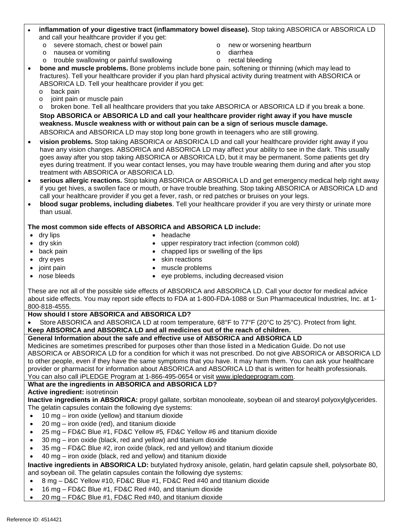## • **inflammation of your digestive tract (inflammatory bowel disease).** Stop taking ABSORICA or ABSORICA LD and call your healthcare provider if you get:

- o severe stomach, chest or bowel pain
- o nausea or vomiting
- o trouble swallowing or painful swallowing
- o new or worsening heartburn
- o diarrhea
- o rectal bleeding

• **bone and muscle problems.** Bone problems include bone pain, softening or thinning (which may lead to fractures). Tell your healthcare provider if you plan hard physical activity during treatment with ABSORICA or ABSORICA LD. Tell your healthcare provider if you get:

- o back pain
- o joint pain or muscle pain

o broken bone. Tell all healthcare providers that you take ABSORICA or ABSORICA LD if you break a bone.

**Stop ABSORICA or ABSORICA LD and call your healthcare provider right away if you have muscle weakness. Muscle weakness with or without pain can be a sign of serious muscle damage.**

ABSORICA and ABSORICA LD may stop long bone growth in teenagers who are still growing.

- **vision problems.** Stop taking ABSORICA or ABSORICA LD and call your healthcare provider right away if you have any vision changes. ABSORICA and ABSORICA LD may affect your ability to see in the dark. This usually goes away after you stop taking ABSORICA or ABSORICA LD, but it may be permanent. Some patients get dry eyes during treatment. If you wear contact lenses, you may have trouble wearing them during and after you stop treatment with ABSORICA or ABSORICA LD.
- **serious allergic reactions.** Stop taking ABSORICA or ABSORICA LD and get emergency medical help right away if you get hives, a swollen face or mouth, or have trouble breathing. Stop taking ABSORICA or ABSORICA LD and call your healthcare provider if you get a fever, rash, or red patches or bruises on your legs.
- **blood sugar problems, including diabetes**. Tell your healthcare provider if you are very thirsty or urinate more than usual.

## **The most common side effects of ABSORICA and ABSORICA LD include:**

• dry lips • dry skin

- headache
- upper respiratory tract infection (common cold)
- 
- chapped lips or swelling of the lips • skin reactions

• dry eyes • joint pain

• back pain

• nose bleeds

- muscle problems
- eye problems, including decreased vision

These are not all of the possible side effects of ABSORICA and ABSORICA LD. Call your doctor for medical advice about side effects. You may report side effects to FDA at 1-800-FDA-1088 or Sun Pharmaceutical Industries, Inc. at 1- 800-818-4555.

### **How should I store ABSORICA and ABSORICA LD?**

Store ABSORICA and ABSORICA LD at room temperature, 68°F to 77°F (20°C to 25°C). Protect from light. **Keep ABSORICA and ABSORICA LD and all medicines out of the reach of children.**

# **General Information about the safe and effective use of ABSORICA and ABSORICA LD**

Medicines are sometimes prescribed for purposes other than those listed in a Medication Guide. Do not use ABSORICA or ABSORICA LD for a condition for which it was not prescribed. Do not give ABSORICA or ABSORICA LD to other people, even if they have the same symptoms that you have. It may harm them. You can ask your healthcare provider or pharmacist for information about ABSORICA and ABSORICA LD that is written for health professionals. You can also call iPLEDGE Program at 1-866-495-0654 or visit [www.ipledgeprogram.com.](http://www.ipledgeprogram.com/)

### **What are the ingredients in ABSORICA and ABSORICA LD?**

### **Active ingredient:** isotretinoin

**Inactive ingredients in ABSORICA:** propyl gallate, sorbitan monooleate, soybean oil and stearoyl polyoxylglycerides. The gelatin capsules contain the following dye systems:

- 10 mg iron oxide (yellow) and titanium dioxide
- 20 mg iron oxide (red), and titanium dioxide
- 25 mg FD&C Blue #1, FD&C Yellow #5*,* FD&C Yellow #6 and titanium dioxide
- 30 mg iron oxide (black, red and yellow) and titanium dioxide
- 35 mg FD&C Blue #2, iron oxide (black, red and yellow) and titanium dioxide
- 40 mg iron oxide (black, red and yellow) and titanium dioxide

**Inactive ingredients in ABSORICA LD:** butylated hydroxy anisole, gelatin, hard gelatin capsule shell, polysorbate 80, and soybean oil. The gelatin capsules contain the following dye systems:

- 8 mg D&C Yellow #10, FD&C Blue #1, FD&C Red #40 and titanium dioxide
- 16 mg FD&C Blue #1, FD&C Red #40, and titanium dioxide
- 20 mg FD&C Blue #1, FD&C Red #40, and titanium dioxide